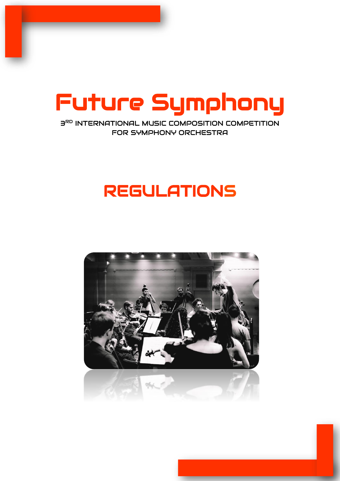

**3RD INTERNATIONAL MUSIC COMPOSITION COMPETITION** FOR SYMPHONY ORCHESTRA

# REGULATIONS

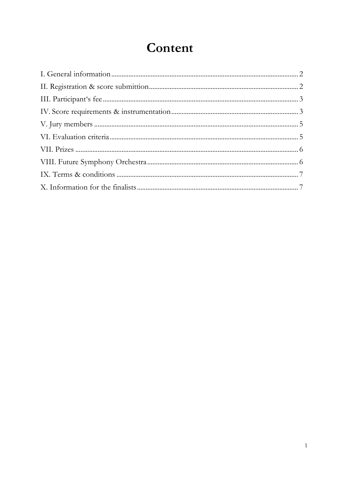## Content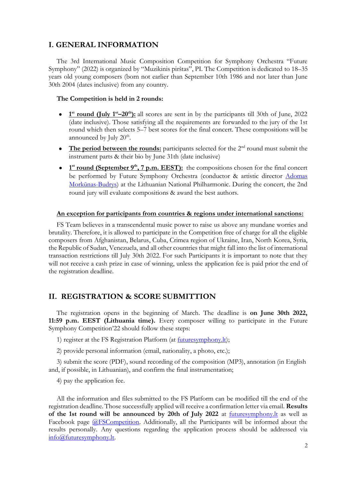## <span id="page-2-0"></span>**I. GENERAL INFORMATION**

The 3rd International Music Composition Competition for Symphony Orchestra "Future Symphony" (2022) is organized by "Muzikinis pirštas", PI. The Competition is dedicated to 18–35 years old young composers (born not earlier than September 10th 1986 and not later than June 30th 2004 (dates inclusive) from any country.

#### **The Competition is held in 2 rounds:**

- **1 st round (July 1st –20th):** all scores are sent in by the participants till 30th of June, 2022 (date inclusive). Those satisfying all the requirements are forwarded to the jury of the 1st round which then selects 5–7 best scores for the final concert. These compositions will be announced by July 20<sup>th</sup>.
- The period between the rounds: participants selected for the 2<sup>nd</sup> round must submit the instrument parts & their bio by June 31th (date inclusive)
- **• 1**<sup>st</sup> **round (September 9<sup>th</sup>, 7 p.m. EEST):** the compositions chosen for the final concert be performed by Future Symphony Orchestra (conductor & artistic director Adomas [Morkūnas](https://futuresymphony.lt/adomas)-Budrys) at the Lithuanian National Philharmonic. During the concert, the 2nd round jury will evaluate compositions & award the best authors.

#### **An exception for participants from countries & regions under international sanctions:**

FS Team believes in a transcendental music power to raise us above any mundane worries and brutality. Therefore, it is allowed to participate in the Competition free of charge for all the eligible composers from Afghanistan, Belarus, Cuba, Crimea region of Ukraine, Iran, North Korea, Syria, the Republic of Sudan, Venezuela, and all other countries that might fall into the list of international transaction restrictions till July 30th 2022. For such Participants it is important to note that they will not receive a cash prize in case of winning, unless the application fee is paid prior the end of the registration deadline.

#### <span id="page-2-1"></span>**II. REGISTRATION & SCORE SUBMITTION**

The registration opens in the beginning of March. The deadline is **on June 30th 2022, 11:59 p.m. EEST (Lithuania time).** Every composer willing to participate in the Future Symphony Competition'22 should follow these steps:

1) register at the FS Registration Platform (at **futuresymphony.lt**);

2) provide personal information (email, nationality, a photo, etc.);

3) submit the score (PDF), sound recording of the composition (MP3), annotation (in English and, if possible, in Lithuanian), and confirm the final instrumentation;

4) pay the application fee.

All the information and files submitted to the FS Platform can be modified till the end of the registration deadline. Those successfully applied will receive a confirmation letter via email. **Results of the 1st round will be announced by 20th of July 2022** at **<u>futuresymphony. It</u> as well as** Facebook page *@FSCompetition*. Additionally, all the Participants will be informed about the results personally. Any questions regarding the application process should be addressed via [info@futuresymphony.lt.](mailto:info@futuresymphony.lt)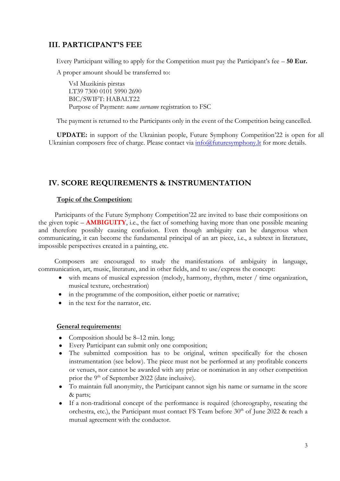## <span id="page-3-0"></span>**III. PARTICIPANT'S FEE**

Every Participant willing to apply for the Competition must pay the Participant's fee – **50 Eur.**

A proper amount should be transferred to:

VsI Muzikinis pirstas LT39 7300 0101 5990 2690 BIC/SWIFT: HABALT22 Purpose of Payment: *name surname* registration to FSC

The payment is returned to the Participants only in the event of the Competition being cancelled.

**UPDATE:** in support of the Ukrainian people, Future Symphony Competition'22 is open for all Ukrainian composers free of charge. Please contact via  $info@$ futuresymphony. It for more details.

## **IV. SCORE REQUIREMENTS & INSTRUMENTATION**

#### **Topic of the Competition:**

Participants of the Future Symphony Competition'22 are invited to base their compositions on the given topic – **AMBIGUITY**, i.e., the fact of something having more than one possible meaning and therefore possibly causing confusion. Even though ambiguity can be dangerous when communicating, it can become the fundamental principal of an art piece, i.e., a subtext in literature, impossible perspectives created in a painting, etc.

Composers are encouraged to study the manifestations of ambiguity in language, communication, art, music, literature, and in other fields, and to use/express the concept:

- with means of musical expression (melody, harmony, rhythm, meter / time organization, musical texture, orchestration)
- in the programme of the composition, either poetic or narrative;
- in the text for the narrator, etc.

#### **General requirements:**

- Composition should be  $8-12$  min. long;
- Every Participant can submit only one composition;
- The submitted composition has to be original, written specifically for the chosen instrumentation (see below). The piece must not be performed at any profitable concerts or venues, nor cannot be awarded with any prize or nomination in any other competition prior the 9<sup>th</sup> of September 2022 (date inclusive).
- To maintain full anonymity, the Participant cannot sign his name or surname in the score & parts;
- If a non-traditional concept of the performance is required (choreography, reseating the orchestra, etc.), the Participant must contact FS Team before  $30<sup>th</sup>$  of June 2022 & reach a mutual agreement with the conductor.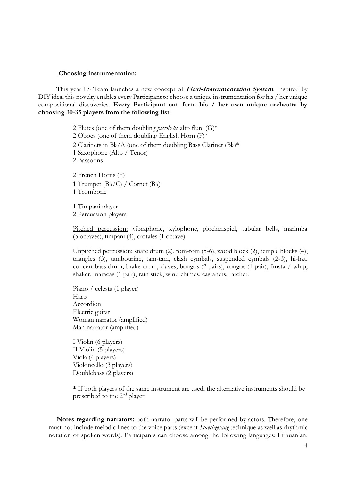#### **Choosing instrumentation:**

This year FS Team launches a new concept of **Flexi-Instrumentation System**. Inspired by DIY idea, this novelty enables every Participant to choose a unique instrumentation for his / her unique compositional discoveries. **Every Participant can form his / her own unique orchestra by choosing 30-35 players from the following list:**

> 2 Flutes (one of them doubling *piccolo* & alto flute (G)\* 2 Oboes (one of them doubling English Horn  $(F)^*$ 2 Clarinets in B♭/A (one of them doubling Bass Clarinet (B♭)<sup>\*</sup> 1 Saxophone (Alto / Tenor) 2 Bassoons 2 French Horns (F) 1 Trumpet (B♭/C) / Cornet (B♭) 1 Trombone

1 Timpani player 2 Percussion players

Pitched percussion: vibraphone, xylophone, glockenspiel, tubular bells, marimba (5 octaves), timpani (4), crotales (1 octave)

Unpitched percussion: snare drum (2), tom-tom (5-6), wood block (2), temple blocks (4), triangles (3), tambourine, tam-tam, clash cymbals, suspended cymbals (2-3), hi-hat, concert bass drum, brake drum, claves, bongos (2 pairs), congos (1 pair), frusta / whip, shaker, maracas (1 pair), rain stick, wind chimes, castanets, ratchet.

Piano / celesta (1 player) Harp Accordion Electric guitar Woman narrator (amplified) Man narrator (amplified)

I Violin (6 players) II Violin (5 players) Viola (4 players) Violoncello (3 players) Doublebass (2 players)

**\*** If both players of the same instrument are used, the alternative instruments should be prescribed to the 2nd player.

**Notes regarding narrators:** both narrator parts will be performed by actors. Therefore, one must not include melodic lines to the voice parts (except *Sprechgesang* technique as well as rhythmic notation of spoken words). Participants can choose among the following languages: Lithuanian,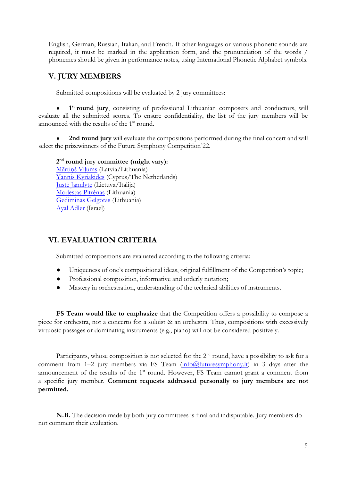English, German, Russian, Italian, and French. If other languages or various phonetic sounds are required, it must be marked in the application form, and the pronunciation of the words / phonemes should be given in performance notes, using International Phonetic Alphabet symbols.

## <span id="page-5-0"></span>**V. JURY MEMBERS**

Submitted compositions will be evaluated by 2 jury committees:

● **1** 1<sup>st</sup> **round jury**, consisting of professional Lithuanian composers and conductors, will evaluate all the submitted scores. To ensure confidentiality, the list of the jury members will be announced with the results of the  $1<sup>st</sup>$  round.

2nd round jury will evaluate the compositions performed during the final concert and will select the prizewinners of the Future Symphony Competition'22.

**2 nd round jury committee (might vary):** [Mārtiņš Viļums](https://www.lmic.lv/en/composers/martins-vilums-488#work) (Latvia/Lithuania) [Yannis Kyriakides](https://www.kyriakides.com/) (Cyprus/The Netherlands) Ju[stė Janulytė](https://www.justejanulyte.com/en/about/) (Lietuva/Italija) [Modestas Pitrėnas](https://www.filharmonija.lt/en/performers/modestas-pitrenas-artistic-director-and-principal-conductor-of-the-lnso18.html) (Lithuania) [Gediminas Gelgotas](http://www.gediminasgelgotas.com/) (Lithuania) [Ayal Adler](https://ayaladler.com/) (Israel)

## <span id="page-5-1"></span>**VI. EVALUATION CRITERIA**

Submitted compositions are evaluated according to the following criteria:

- Uniqueness of one's compositional ideas, original fulfillment of the Competition's topic;
- Professional composition, informative and orderly notation;
- Mastery in orchestration, understanding of the technical abilities of instruments.

**FS Team would like to emphasize** that the Competition offers a possibility to compose a piece for orchestra, not a concerto for a soloist & an orchestra. Thus, compositions with excessively virtuosic passages or dominating instruments (e.g., piano) will not be considered positively.

Participants, whose composition is not selected for the 2<sup>nd</sup> round, have a possibility to ask for a comment from  $1-2$  jury members via FS Team  $(info@futuresymphony.lt)$  in 3 days after the announcement of the results of the  $1<sup>st</sup>$  round. However, FS Team cannot grant a comment from a specific jury member. **Comment requests addressed personally to jury members are not permitted.**

**N.B.** The decision made by both jury committees is final and indisputable. Jury members do not comment their evaluation.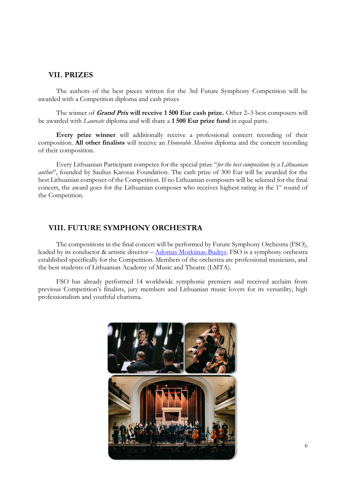#### <span id="page-6-0"></span>**VII. PRIZES**

The authors of the best pieces written for the 3rd Future Symphony Competition will be awarded with a Competition diploma and cash prizes

The winner of **Grand Prix will receive 1 500 Eur cash prize.** Other 2–3 best composers will be awarded with *Laureate* diploma and will share a **1 500 Eur prize fund** in equal parts.

**Every prize winner** will additionally receive a professional concert recording of their composition. **All other finalists** will receive an *Honorable Mention* diploma and the concert recording of their composition.

Every Lithuanian Participant competes for the special prize "*for the best composition by a Lithuanian author*", founded by Saulius Karosas Foundation. The cash prize of 300 Eur will be awarded for the best Lithuanian composer of the Competition. If no Lithuanian composers will be selected for the final concert, the award goes for the Lithuanian composer who receives highest rating in the 1<sup>st</sup> round of the Competition.

#### <span id="page-6-1"></span>**VIII. FUTURE SYMPHONY ORCHESTRA**

The compositions in the final concert will be performed by Future Symphony Orchestra (FSO), leaded by its conductor & artistic director – [Adomas Morkūnas](https://futuresymphony.lt/adomas)-Budrys. FSO is a symphony orchestra established specifically for the Competition. Members of the orchestra are professional musicians, and the best students of Lithuanian Academy of Music and Theatre (LMTA).

FSO has already performed 14 worldwide symphonic premiers and received acclaim from previous Competition's finalists, jury members and Lithuanian music lovers for its versatility, high professionalism and youthful charisma.